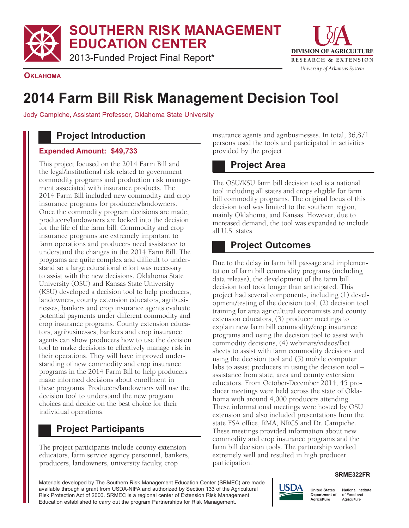**SOUTHERN RISK MANAGEMENT EDUCATION CENTER**

2013-Funded Project Final Report\*



**OKLAHOMA**

# **2014 Farm Bill Risk Management Decision Tool**

Jody Campiche, Assistant Professor, Oklahoma State University

## **Project Introduction**

### **Expended Amount: \$49,733**

This project focused on the 2014 Farm Bill and the legal/institutional risk related to government commodity programs and production risk management associated with insurance products. The 2014 Farm Bill included new commodity and crop insurance programs for producers/landowners. Once the commodity program decisions are made, producers/landowners are locked into the decision for the life of the farm bill. Commodity and crop insurance programs are extremely important to farm operations and producers need assistance to understand the changes in the 2014 Farm Bill. The programs are quite complex and difficult to understand so a large educational effort was necessary to assist with the new decisions. Oklahoma State University (OSU) and Kansas State University (KSU) developed a decision tool to help producers, landowners, county extension educators, agribusinesses, bankers and crop insurance agents evaluate potential payments under different commodity and crop insurance programs. County extension educators, agribusinesses, bankers and crop insurance agents can show producers how to use the decision tool to make decisions to effectively manage risk in their operations. They will have improved understanding of new commodity and crop insurance programs in the 2014 Farm Bill to help producers make informed decisions about enrollment in these programs. Producers/landowners will use the decision tool to understand the new program choices and decide on the best choice for their individual operations.

# **Project Participants**

The project participants include county extension educators, farm service agency personnel, bankers, producers, landowners, university faculty, crop

insurance agents and agribusinesses. In total, 36,871 persons used the tools and participated in activities provided by the project.

## **Project Area**

The OSU/KSU farm bill decision tool is a national tool including all states and crops eligible for farm bill commodity programs. The original focus of this decision tool was limited to the southern region, mainly Oklahoma, and Kansas. However, due to increased demand, the tool was expanded to include all U.S. states.

## **Project Outcomes**

Due to the delay in farm bill passage and implementation of farm bill commodity programs (including data release), the development of the farm bill decision tool took longer than anticipated. This project had several components, including (1) development/testing of the decision tool, (2) decision tool training for area agricultural economists and county extension educators, (3) producer meetings to explain new farm bill commodity/crop insurance programs and using the decision tool to assist with commodity decisions, (4) webinars/videos/fact sheets to assist with farm commodity decisions and using the decision tool and (5) mobile computer labs to assist producers in using the decision tool – assistance from state, area and county extension educators. From October-December 2014, 45 producer meetings were held across the state of Oklahoma with around 4,000 producers attending. These informational meetings were hosted by OSU extension and also included presentations from the state FSA office, RMA, NRCS and Dr. Campiche. These meetings provided information about new commodity and crop insurance programs and the farm bill decision tools. The partnership worked extremely well and resulted in high producer participation.

**USDA** 

#### **SRME322FR**

**United States** Department of Agriculture

National Institute of Food and Agriculture

Materials developed by The Southern Risk Management Education Center (SRMEC) are made available through a grant from USDA-NIFA and authorized by Section 133 of the Agricultural Risk Protection Act of 2000. SRMEC is a regional center of Extension Risk Management Education established to carry out the program Partnerships for Risk Management.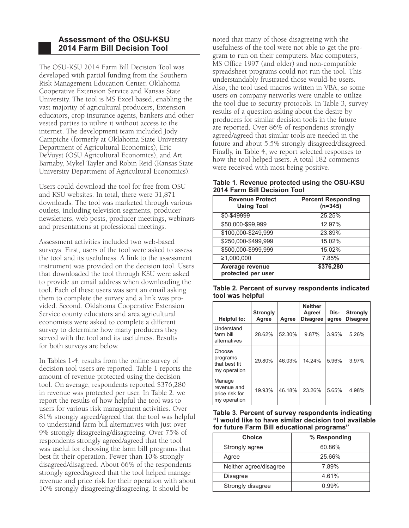### **Assessment of the OSU-KSU 2014 Farm Bill Decision Tool**

The OSU-KSU 2014 Farm Bill Decision Tool was developed with partial funding from the Southern Risk Management Education Center, Oklahoma Cooperative Extension Service and Kansas State University. The tool is MS Excel based, enabling the vast majority of agricultural producers, Extension educators, crop insurance agents, bankers and other vested parties to utilize it without access to the internet. The development team included Jody Campiche (formerly at Oklahoma State University Department of Agricultural Economics), Eric DeVuyst (OSU Agricultural Economics), and Art Barnaby, Mykel Tayler and Robin Reid (Kansas State University Department of Agricultural Economics).

Users could download the tool for free from OSU and KSU websites. In total, there were 31,871 downloads. The tool was marketed through various outlets, including television segments, producer newsletters, web posts, producer meetings, webinars and presentations at professional meetings.

Assessment activities included two web-based surveys. First, users of the tool were asked to assess the tool and its usefulness. A link to the assessment instrument was provided on the decision tool. Users that downloaded the tool through KSU were asked to provide an email address when downloading the tool. Each of these users was sent an email asking them to complete the survey and a link was provided. Second, Oklahoma Cooperative Extension Service county educators and area agricultural economists were asked to complete a different survey to determine how many producers they served with the tool and its usefulness. Results for both surveys are below.

In Tables 1-4, results from the online survey of decision tool users are reported. Table 1 reports the amount of revenue protected using the decision tool. On average, respondents reported \$376,280 in revenue was protected per user. In Table 2, we report the results of how helpful the tool was to users for various risk management activities. Over 81% strongly agreed/agreed that the tool was helpful to understand farm bill alternatives with just over 9% strongly disagreeing/disagreeing. Over 75% of respondents strongly agreed/agreed that the tool was useful for choosing the farm bill programs that best fit their operation. Fewer than 10% strongly disagreed/disagreed. About 66% of the respondents strongly agreed/agreed that the tool helped manage revenue and price risk for their operation with about 10% strongly disagreeing/disagreeing. It should be

noted that many of those disagreeing with the usefulness of the tool were not able to get the program to run on their computers. Mac computers, MS Office 1997 (and older) and non-compatible spreadsheet programs could not run the tool. This understandably frustrated those would-be users. Also, the tool used macros written in VBA, so some users on company networks were unable to utilize the tool due to security protocols. In Table 3, survey results of a question asking about the desire by producers for similar decision tools in the future are reported. Over 86% of respondents strongly agreed/agreed that similar tools are needed in the future and about 5.5% strongly disagreed/disagreed. Finally, in Table 4, we report selected responses to how the tool helped users. A total 182 comments were received with most being positive.

**Table 1. Revenue protected using the OSU-KSU 2014 Farm Bill Decision Tool**

| <b>Revenue Protect</b><br><b>Using Tool</b> | <b>Percent Responding</b><br>$(n=345)$ |
|---------------------------------------------|----------------------------------------|
| \$0-\$49999                                 | 25.25%                                 |
| \$50,000-\$99,999                           | 12.97%                                 |
| \$100,000-\$249,999                         | 23.89%                                 |
| \$250,000-\$499,999                         | 15.02%                                 |
| \$500,000-\$999,999                         | 15.02%                                 |
| ≥1.000.000                                  | 7.85%                                  |
| Average revenue<br>protected per user       | \$376,280                              |

**Table 2. Percent of survey respondents indicated tool was helpful**

| Helpful to:                                             | <b>Strongly</b><br>Agree | Agree  | <b>Neither</b><br>Agree/<br><b>Disagree</b> | Dis-<br>agree | <b>Strongly</b><br><b>Disagree</b> |
|---------------------------------------------------------|--------------------------|--------|---------------------------------------------|---------------|------------------------------------|
| Understand<br>farm bill<br>alternatives                 | 28.62%                   | 52.30% | 9.87%                                       | 3.95%         | 5.26%                              |
| Choose<br>programs<br>that best fit<br>my operation     | 29.80%                   | 46.03% | 14.24%                                      | 5.96%         | 3.97%                              |
| Manage<br>revenue and<br>price risk for<br>my operation | 19.93%                   | 46.18% | 23.26%                                      | 5.65%         | 4.98%                              |

**Table 3. Percent of survey respondents indicating "I would like to have similar decision tool available for future Farm Bill educational programs"**

| <b>Choice</b>          | % Responding |
|------------------------|--------------|
| Strongly agree         | 60.86%       |
| Agree                  | 25.66%       |
| Neither agree/disagree | 7.89%        |
| <b>Disagree</b>        | 4.61%        |
| Strongly disagree      | $0.99\%$     |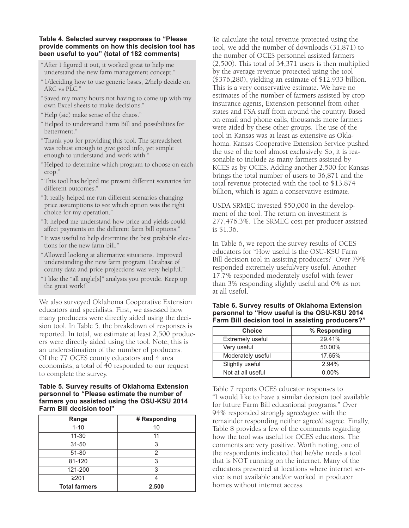#### **Table 4. Selected survey responses to "Please provide comments on how this decision tool has been useful to you" (total of 182 comments)**

- "After I figured it out, it worked great to help me understand the new farm management concept."
- "1/deciding how to use generic bases, 2/help decide on ARC vs PLC."
- "Saved my many hours not having to come up with my own Excel sheets to make decisions."
- "Help (sic) make sense of the chaos."
- "Helped to understand Farm Bill and possibilities for betterment."
- "Thank you for providing this tool. The spreadsheet was robust enough to give good info, yet simple enough to understand and work with."
- "Helped to determine which program to choose on each crop."
- "This tool has helped me present different scenarios for different outcomes."
- "It really helped me run different scenarios changing price assumptions to see which option was the right choice for my operation."
- "It helped me understand how price and yields could affect payments on the different farm bill options."
- "It was useful to help determine the best probable elections for the new farm bill."
- "Allowed looking at alternative situations. Improved understanding the new farm program. Database of county data and price projections was very helpful."
- "I like the "all angle[s]" analysis you provide. Keep up the great work!"

We also surveyed Oklahoma Cooperative Extension educators and specialists. First, we assessed how many producers were directly aided using the decision tool. In Table 5, the breakdown of responses is reported. In total, we estimate at least 2,500 producers were directly aided using the tool. Note, this is an underestimation of the number of producers. Of the 77 OCES county educators and 4 area economists, a total of 40 responded to our request to complete the survey.

#### **Table 5. Survey results of Oklahoma Extension personnel to "Please estimate the number of farmers you assisted using the OSU-KSU 2014 Farm Bill decision tool"**

| Range                | # Responding |
|----------------------|--------------|
| $1 - 10$             | 10           |
| $11 - 30$            | 11           |
| $31 - 50$            | 3            |
| 51-80                | 2            |
| 81-120               | 3            |
| 121-200              | 3            |
| ≥201                 |              |
| <b>Total farmers</b> | 2,500        |

To calculate the total revenue protected using the tool, we add the number of downloads (31,871) to the number of OCES personnel assisted farmers (2,500). This total of 34,371 users is then multiplied by the average revenue protected using the tool (\$376,280), yielding an estimate of \$12.933 billion. This is a very conservative estimate. We have no estimates of the number of farmers assisted by crop insurance agents, Extension personnel from other states and FSA staff from around the country. Based on email and phone calls, thousands more farmers were aided by these other groups. The use of the tool in Kansas was at least as extensive as Oklahoma. Kansas Cooperative Extension Service pushed the use of the tool almost exclusively. So, it is reasonable to include as many farmers assisted by KCES as by OCES. Adding another 2,500 for Kansas brings the total number of users to 36,871 and the total revenue protected with the tool to \$13.874 billion, which is again a conservative estimate.

USDA SRMEC invested \$50,000 in the development of the tool. The return on investment is 277,476.3%. The SRMEC cost per producer assisted is \$1.36.

In Table 6, we report the survey results of OCES educators for "How useful is the OSU-KSU Farm Bill decision tool in assisting producers?" Over 79% responded extremely useful/very useful. Another 17.7% responded moderately useful with fewer than 3% responding slightly useful and 0% as not at all useful.

| <b>Choice</b>     | % Responding |  |
|-------------------|--------------|--|
| Extremely useful  | 29.41%       |  |
| Very useful       | 50.00%       |  |
| Moderately useful | 17.65%       |  |
| Slightly useful   | 2.94%        |  |
| Not at all useful | $0.00\%$     |  |

**Table 6. Survey results of Oklahoma Extension personnel to "How useful is the OSU-KSU 2014 Farm Bill decision tool in assisting producers?"**

Table 7 reports OCES educator responses to "I would like to have a similar decision tool available for future Farm Bill educational programs." Over 94% responded strongly agree/agree with the remainder responding neither agree/disagree. Finally, Table 8 provides a few of the comments regarding how the tool was useful for OCES educators. The comments are very positive. Worth noting, one of the respondents indicated that he/she needs a tool that is NOT running on the internet. Many of the educators presented at locations where internet service is not available and/or worked in producer homes without internet access.